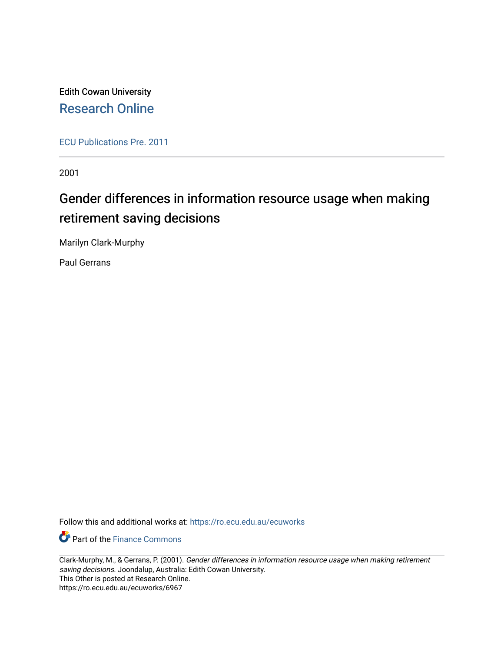Edith Cowan University [Research Online](https://ro.ecu.edu.au/) 

[ECU Publications Pre. 2011](https://ro.ecu.edu.au/ecuworks)

2001

# Gender differences in information resource usage when making retirement saving decisions

Marilyn Clark-Murphy

Paul Gerrans

Follow this and additional works at: [https://ro.ecu.edu.au/ecuworks](https://ro.ecu.edu.au/ecuworks?utm_source=ro.ecu.edu.au%2Fecuworks%2F6967&utm_medium=PDF&utm_campaign=PDFCoverPages) 

**Part of the Finance Commons** 

Clark-Murphy, M., & Gerrans, P. (2001). Gender differences in information resource usage when making retirement saving decisions. Joondalup, Australia: Edith Cowan University. This Other is posted at Research Online. https://ro.ecu.edu.au/ecuworks/6967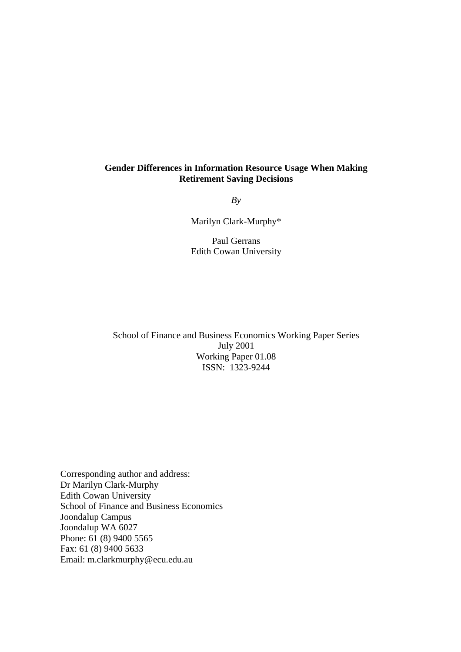### **Gender Differences in Information Resource Usage When Making Retirement Saving Decisions**

*By*

Marilyn Clark-Murphy\*

Paul Gerrans Edith Cowan University

School of Finance and Business Economics Working Paper Series July 2001 Working Paper 01.08 ISSN: 1323-9244

Corresponding author and address: Dr Marilyn Clark-Murphy Edith Cowan University School of Finance and Business Economics Joondalup Campus Joondalup WA 6027 Phone: 61 (8) 9400 5565 Fax: 61 (8) 9400 5633 Email: m.clarkmurphy@ecu.edu.au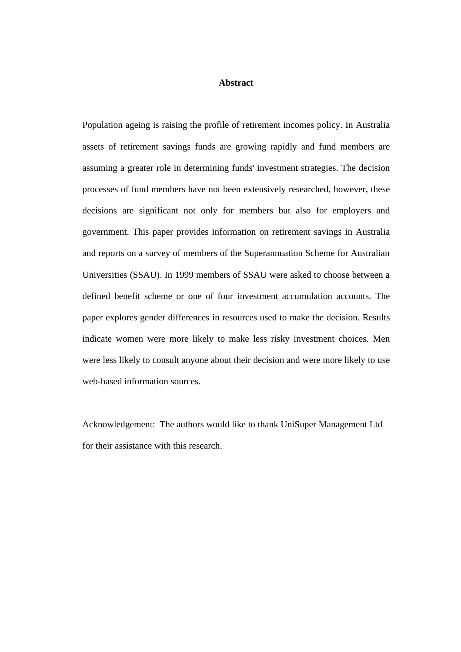### **Abstract**

Population ageing is raising the profile of retirement incomes policy. In Australia assets of retirement savings funds are growing rapidly and fund members are assuming a greater role in determining funds' investment strategies. The decision processes of fund members have not been extensively researched, however, these decisions are significant not only for members but also for employers and government. This paper provides information on retirement savings in Australia and reports on a survey of members of the Superannuation Scheme for Australian Universities (SSAU). In 1999 members of SSAU were asked to choose between a defined benefit scheme or one of four investment accumulation accounts. The paper explores gender differences in resources used to make the decision. Results indicate women were more likely to make less risky investment choices. Men were less likely to consult anyone about their decision and were more likely to use web-based information sources.

Acknowledgement: The authors would like to thank UniSuper Management Ltd for their assistance with this research.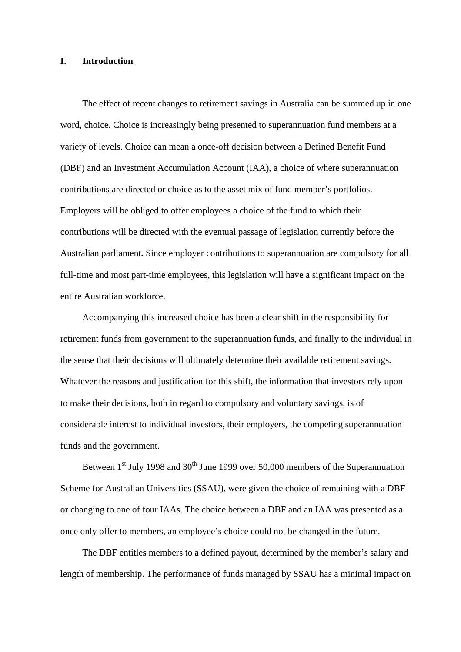### **I. Introduction**

The effect of recent changes to retirement savings in Australia can be summed up in one word, choice. Choice is increasingly being presented to superannuation fund members at a variety of levels. Choice can mean a once-off decision between a Defined Benefit Fund (DBF) and an Investment Accumulation Account (IAA), a choice of where superannuation contributions are directed or choice as to the asset mix of fund member's portfolios. Employers will be obliged to offer employees a choice of the fund to which their contributions will be directed with the eventual passage of legislation currently before the Australian parliament**.** Since employer contributions to superannuation are compulsory for all full-time and most part-time employees, this legislation will have a significant impact on the entire Australian workforce.

Accompanying this increased choice has been a clear shift in the responsibility for retirement funds from government to the superannuation funds, and finally to the individual in the sense that their decisions will ultimately determine their available retirement savings. Whatever the reasons and justification for this shift, the information that investors rely upon to make their decisions, both in regard to compulsory and voluntary savings, is of considerable interest to individual investors, their employers, the competing superannuation funds and the government.

Between  $1<sup>st</sup>$  July 1998 and  $30<sup>th</sup>$  June 1999 over 50,000 members of the Superannuation Scheme for Australian Universities (SSAU), were given the choice of remaining with a DBF or changing to one of four IAAs. The choice between a DBF and an IAA was presented as a once only offer to members, an employee's choice could not be changed in the future.

The DBF entitles members to a defined payout, determined by the member's salary and length of membership. The performance of funds managed by SSAU has a minimal impact on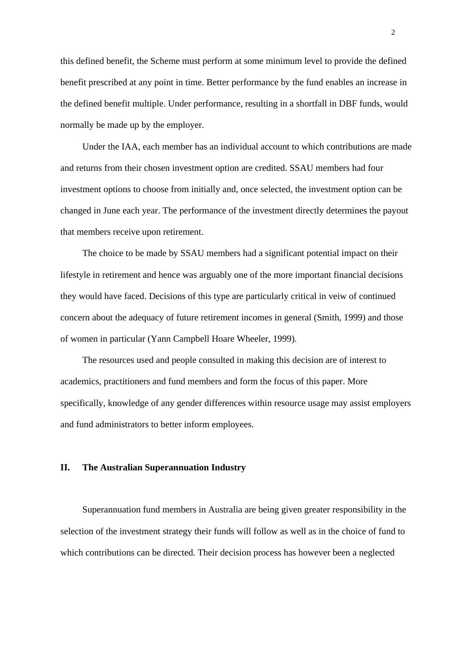this defined benefit, the Scheme must perform at some minimum level to provide the defined benefit prescribed at any point in time. Better performance by the fund enables an increase in the defined benefit multiple. Under performance, resulting in a shortfall in DBF funds, would normally be made up by the employer.

Under the IAA, each member has an individual account to which contributions are made and returns from their chosen investment option are credited. SSAU members had four investment options to choose from initially and, once selected, the investment option can be changed in June each year. The performance of the investment directly determines the payout that members receive upon retirement.

The choice to be made by SSAU members had a significant potential impact on their lifestyle in retirement and hence was arguably one of the more important financial decisions they would have faced. Decisions of this type are particularly critical in veiw of continued concern about the adequacy of future retirement incomes in general (Smith, 1999) and those of women in particular (Yann Campbell Hoare Wheeler, 1999).

The resources used and people consulted in making this decision are of interest to academics, practitioners and fund members and form the focus of this paper. More specifically, knowledge of any gender differences within resource usage may assist employers and fund administrators to better inform employees.

### **II. The Australian Superannuation Industry**

Superannuation fund members in Australia are being given greater responsibility in the selection of the investment strategy their funds will follow as well as in the choice of fund to which contributions can be directed. Their decision process has however been a neglected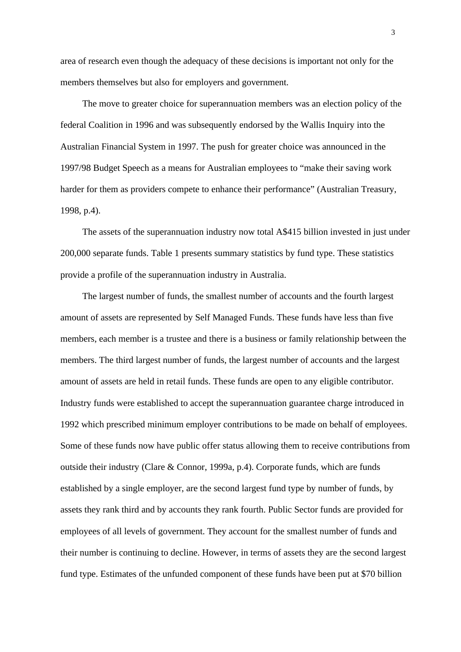area of research even though the adequacy of these decisions is important not only for the members themselves but also for employers and government.

The move to greater choice for superannuation members was an election policy of the federal Coalition in 1996 and was subsequently endorsed by the Wallis Inquiry into the Australian Financial System in 1997. The push for greater choice was announced in the 1997/98 Budget Speech as a means for Australian employees to "make their saving work harder for them as providers compete to enhance their performance" (Australian Treasury, 1998, p.4).

The assets of the superannuation industry now total A\$415 billion invested in just under 200,000 separate funds. Table 1 presents summary statistics by fund type. These statistics provide a profile of the superannuation industry in Australia.

The largest number of funds, the smallest number of accounts and the fourth largest amount of assets are represented by Self Managed Funds. These funds have less than five members, each member is a trustee and there is a business or family relationship between the members. The third largest number of funds, the largest number of accounts and the largest amount of assets are held in retail funds. These funds are open to any eligible contributor. Industry funds were established to accept the superannuation guarantee charge introduced in 1992 which prescribed minimum employer contributions to be made on behalf of employees. Some of these funds now have public offer status allowing them to receive contributions from outside their industry (Clare & Connor, 1999a, p.4). Corporate funds, which are funds established by a single employer, are the second largest fund type by number of funds, by assets they rank third and by accounts they rank fourth. Public Sector funds are provided for employees of all levels of government. They account for the smallest number of funds and their number is continuing to decline. However, in terms of assets they are the second largest fund type. Estimates of the unfunded component of these funds have been put at \$70 billion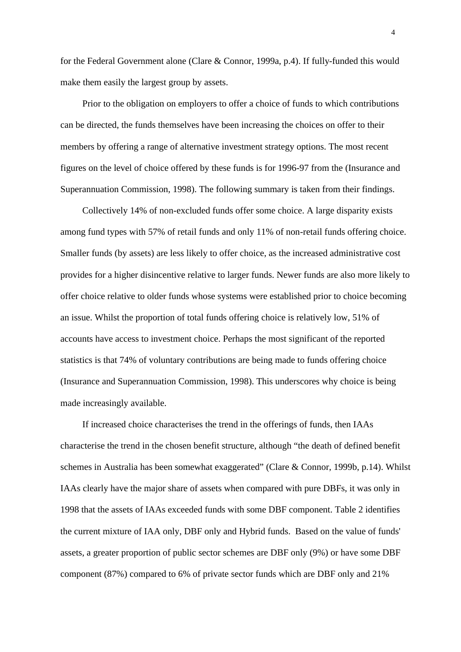for the Federal Government alone (Clare & Connor, 1999a, p.4). If fully-funded this would make them easily the largest group by assets.

Prior to the obligation on employers to offer a choice of funds to which contributions can be directed, the funds themselves have been increasing the choices on offer to their members by offering a range of alternative investment strategy options. The most recent figures on the level of choice offered by these funds is for 1996-97 from the (Insurance and Superannuation Commission, 1998). The following summary is taken from their findings.

Collectively 14% of non-excluded funds offer some choice. A large disparity exists among fund types with 57% of retail funds and only 11% of non-retail funds offering choice. Smaller funds (by assets) are less likely to offer choice, as the increased administrative cost provides for a higher disincentive relative to larger funds. Newer funds are also more likely to offer choice relative to older funds whose systems were established prior to choice becoming an issue. Whilst the proportion of total funds offering choice is relatively low, 51% of accounts have access to investment choice. Perhaps the most significant of the reported statistics is that 74% of voluntary contributions are being made to funds offering choice (Insurance and Superannuation Commission, 1998). This underscores why choice is being made increasingly available.

If increased choice characterises the trend in the offerings of funds, then IAAs characterise the trend in the chosen benefit structure, although "the death of defined benefit schemes in Australia has been somewhat exaggerated" (Clare & Connor, 1999b, p.14). Whilst IAAs clearly have the major share of assets when compared with pure DBFs, it was only in 1998 that the assets of IAAs exceeded funds with some DBF component. Table 2 identifies the current mixture of IAA only, DBF only and Hybrid funds. Based on the value of funds' assets, a greater proportion of public sector schemes are DBF only (9%) or have some DBF component (87%) compared to 6% of private sector funds which are DBF only and 21%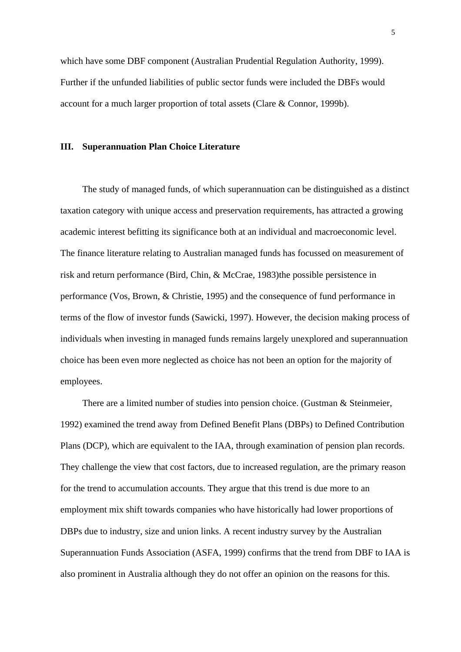which have some DBF component (Australian Prudential Regulation Authority, 1999). Further if the unfunded liabilities of public sector funds were included the DBFs would account for a much larger proportion of total assets (Clare & Connor, 1999b).

### **III. Superannuation Plan Choice Literature**

The study of managed funds, of which superannuation can be distinguished as a distinct taxation category with unique access and preservation requirements, has attracted a growing academic interest befitting its significance both at an individual and macroeconomic level. The finance literature relating to Australian managed funds has focussed on measurement of risk and return performance (Bird, Chin, & McCrae, 1983)the possible persistence in performance (Vos, Brown, & Christie, 1995) and the consequence of fund performance in terms of the flow of investor funds (Sawicki, 1997). However, the decision making process of individuals when investing in managed funds remains largely unexplored and superannuation choice has been even more neglected as choice has not been an option for the majority of employees.

There are a limited number of studies into pension choice. (Gustman & Steinmeier, 1992) examined the trend away from Defined Benefit Plans (DBPs) to Defined Contribution Plans (DCP), which are equivalent to the IAA, through examination of pension plan records. They challenge the view that cost factors, due to increased regulation, are the primary reason for the trend to accumulation accounts. They argue that this trend is due more to an employment mix shift towards companies who have historically had lower proportions of DBPs due to industry, size and union links. A recent industry survey by the Australian Superannuation Funds Association (ASFA, 1999) confirms that the trend from DBF to IAA is also prominent in Australia although they do not offer an opinion on the reasons for this.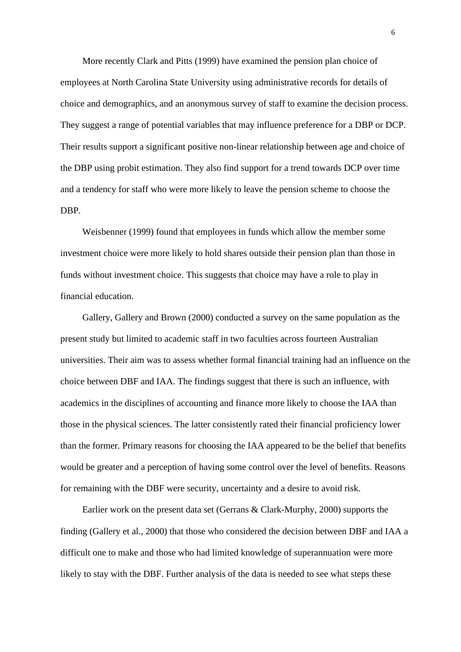More recently Clark and Pitts (1999) have examined the pension plan choice of employees at North Carolina State University using administrative records for details of choice and demographics, and an anonymous survey of staff to examine the decision process. They suggest a range of potential variables that may influence preference for a DBP or DCP. Their results support a significant positive non-linear relationship between age and choice of the DBP using probit estimation. They also find support for a trend towards DCP over time and a tendency for staff who were more likely to leave the pension scheme to choose the DBP.

Weisbenner (1999) found that employees in funds which allow the member some investment choice were more likely to hold shares outside their pension plan than those in funds without investment choice. This suggests that choice may have a role to play in financial education.

Gallery, Gallery and Brown (2000) conducted a survey on the same population as the present study but limited to academic staff in two faculties across fourteen Australian universities. Their aim was to assess whether formal financial training had an influence on the choice between DBF and IAA. The findings suggest that there is such an influence, with academics in the disciplines of accounting and finance more likely to choose the IAA than those in the physical sciences. The latter consistently rated their financial proficiency lower than the former. Primary reasons for choosing the IAA appeared to be the belief that benefits would be greater and a perception of having some control over the level of benefits. Reasons for remaining with the DBF were security, uncertainty and a desire to avoid risk.

Earlier work on the present data set (Gerrans & Clark-Murphy, 2000) supports the finding (Gallery et al., 2000) that those who considered the decision between DBF and IAA a difficult one to make and those who had limited knowledge of superannuation were more likely to stay with the DBF. Further analysis of the data is needed to see what steps these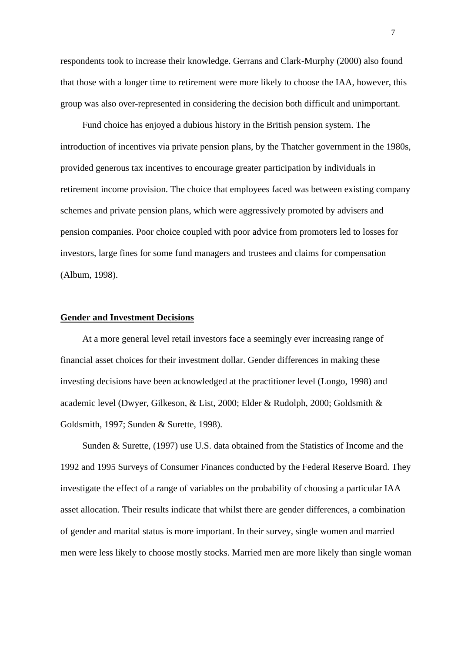respondents took to increase their knowledge. Gerrans and Clark-Murphy (2000) also found that those with a longer time to retirement were more likely to choose the IAA, however, this group was also over-represented in considering the decision both difficult and unimportant.

Fund choice has enjoyed a dubious history in the British pension system. The introduction of incentives via private pension plans, by the Thatcher government in the 1980s, provided generous tax incentives to encourage greater participation by individuals in retirement income provision. The choice that employees faced was between existing company schemes and private pension plans, which were aggressively promoted by advisers and pension companies. Poor choice coupled with poor advice from promoters led to losses for investors, large fines for some fund managers and trustees and claims for compensation (Album, 1998).

### **Gender and Investment Decisions**

At a more general level retail investors face a seemingly ever increasing range of financial asset choices for their investment dollar. Gender differences in making these investing decisions have been acknowledged at the practitioner level (Longo, 1998) and academic level (Dwyer, Gilkeson, & List, 2000; Elder & Rudolph, 2000; Goldsmith & Goldsmith, 1997; Sunden & Surette, 1998).

Sunden & Surette, (1997) use U.S. data obtained from the Statistics of Income and the 1992 and 1995 Surveys of Consumer Finances conducted by the Federal Reserve Board. They investigate the effect of a range of variables on the probability of choosing a particular IAA asset allocation. Their results indicate that whilst there are gender differences, a combination of gender and marital status is more important. In their survey, single women and married men were less likely to choose mostly stocks. Married men are more likely than single woman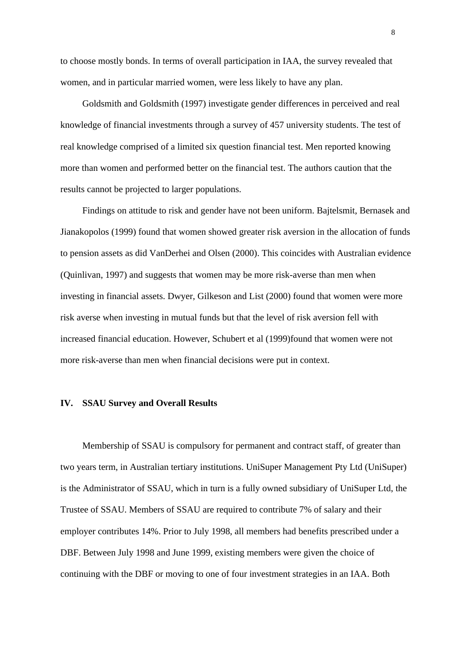to choose mostly bonds. In terms of overall participation in IAA, the survey revealed that women, and in particular married women, were less likely to have any plan.

Goldsmith and Goldsmith (1997) investigate gender differences in perceived and real knowledge of financial investments through a survey of 457 university students. The test of real knowledge comprised of a limited six question financial test. Men reported knowing more than women and performed better on the financial test. The authors caution that the results cannot be projected to larger populations.

Findings on attitude to risk and gender have not been uniform. Bajtelsmit, Bernasek and Jianakopolos (1999) found that women showed greater risk aversion in the allocation of funds to pension assets as did VanDerhei and Olsen (2000). This coincides with Australian evidence (Quinlivan, 1997) and suggests that women may be more risk-averse than men when investing in financial assets. Dwyer, Gilkeson and List (2000) found that women were more risk averse when investing in mutual funds but that the level of risk aversion fell with increased financial education. However, Schubert et al (1999)found that women were not more risk-averse than men when financial decisions were put in context.

### **IV. SSAU Survey and Overall Results**

Membership of SSAU is compulsory for permanent and contract staff, of greater than two years term, in Australian tertiary institutions. UniSuper Management Pty Ltd (UniSuper) is the Administrator of SSAU, which in turn is a fully owned subsidiary of UniSuper Ltd, the Trustee of SSAU. Members of SSAU are required to contribute 7% of salary and their employer contributes 14%. Prior to July 1998, all members had benefits prescribed under a DBF. Between July 1998 and June 1999, existing members were given the choice of continuing with the DBF or moving to one of four investment strategies in an IAA. Both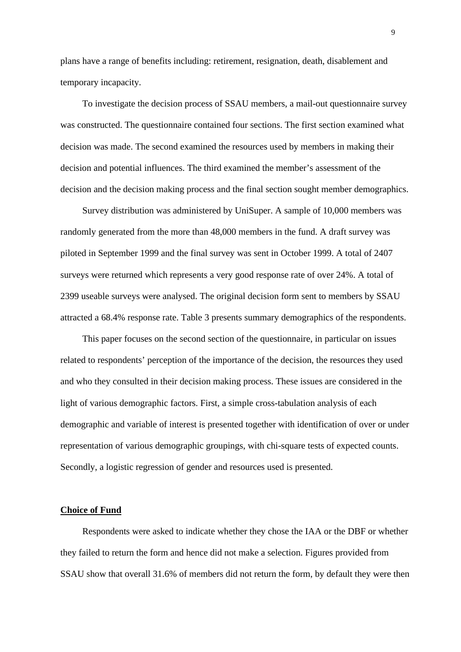plans have a range of benefits including: retirement, resignation, death, disablement and temporary incapacity.

To investigate the decision process of SSAU members, a mail-out questionnaire survey was constructed. The questionnaire contained four sections. The first section examined what decision was made. The second examined the resources used by members in making their decision and potential influences. The third examined the member's assessment of the decision and the decision making process and the final section sought member demographics.

Survey distribution was administered by UniSuper. A sample of 10,000 members was randomly generated from the more than 48,000 members in the fund. A draft survey was piloted in September 1999 and the final survey was sent in October 1999. A total of 2407 surveys were returned which represents a very good response rate of over 24%. A total of 2399 useable surveys were analysed. The original decision form sent to members by SSAU attracted a 68.4% response rate. Table 3 presents summary demographics of the respondents.

This paper focuses on the second section of the questionnaire, in particular on issues related to respondents' perception of the importance of the decision, the resources they used and who they consulted in their decision making process. These issues are considered in the light of various demographic factors. First, a simple cross-tabulation analysis of each demographic and variable of interest is presented together with identification of over or under representation of various demographic groupings, with chi-square tests of expected counts. Secondly, a logistic regression of gender and resources used is presented.

### **Choice of Fund**

Respondents were asked to indicate whether they chose the IAA or the DBF or whether they failed to return the form and hence did not make a selection. Figures provided from SSAU show that overall 31.6% of members did not return the form, by default they were then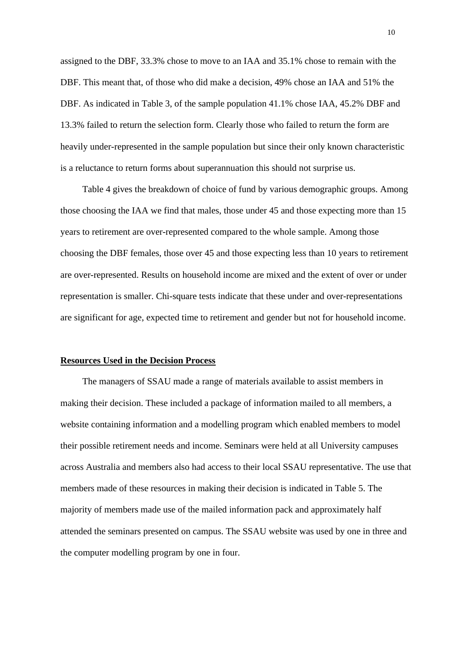assigned to the DBF, 33.3% chose to move to an IAA and 35.1% chose to remain with the DBF. This meant that, of those who did make a decision, 49% chose an IAA and 51% the DBF. As indicated in Table 3, of the sample population 41.1% chose IAA, 45.2% DBF and 13.3% failed to return the selection form. Clearly those who failed to return the form are heavily under-represented in the sample population but since their only known characteristic is a reluctance to return forms about superannuation this should not surprise us.

Table 4 gives the breakdown of choice of fund by various demographic groups. Among those choosing the IAA we find that males, those under 45 and those expecting more than 15 years to retirement are over-represented compared to the whole sample. Among those choosing the DBF females, those over 45 and those expecting less than 10 years to retirement are over-represented. Results on household income are mixed and the extent of over or under representation is smaller. Chi-square tests indicate that these under and over-representations are significant for age, expected time to retirement and gender but not for household income.

### **Resources Used in the Decision Process**

The managers of SSAU made a range of materials available to assist members in making their decision. These included a package of information mailed to all members, a website containing information and a modelling program which enabled members to model their possible retirement needs and income. Seminars were held at all University campuses across Australia and members also had access to their local SSAU representative. The use that members made of these resources in making their decision is indicated in Table 5. The majority of members made use of the mailed information pack and approximately half attended the seminars presented on campus. The SSAU website was used by one in three and the computer modelling program by one in four.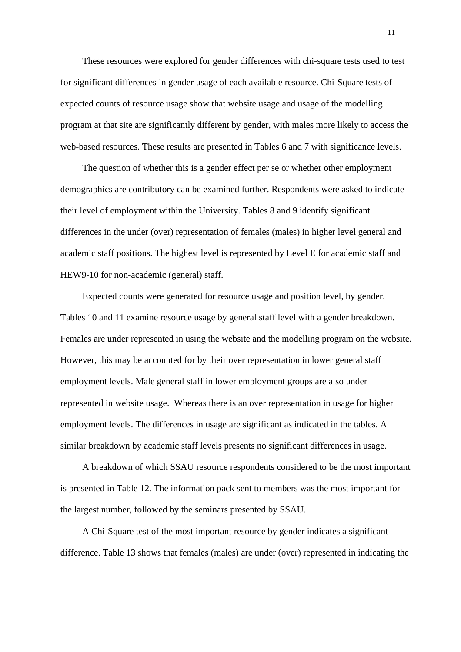These resources were explored for gender differences with chi-square tests used to test for significant differences in gender usage of each available resource. Chi-Square tests of expected counts of resource usage show that website usage and usage of the modelling program at that site are significantly different by gender, with males more likely to access the web-based resources. These results are presented in Tables 6 and 7 with significance levels.

The question of whether this is a gender effect per se or whether other employment demographics are contributory can be examined further. Respondents were asked to indicate their level of employment within the University. Tables 8 and 9 identify significant differences in the under (over) representation of females (males) in higher level general and academic staff positions. The highest level is represented by Level E for academic staff and HEW9-10 for non-academic (general) staff.

Expected counts were generated for resource usage and position level, by gender. Tables 10 and 11 examine resource usage by general staff level with a gender breakdown. Females are under represented in using the website and the modelling program on the website. However, this may be accounted for by their over representation in lower general staff employment levels. Male general staff in lower employment groups are also under represented in website usage. Whereas there is an over representation in usage for higher employment levels. The differences in usage are significant as indicated in the tables. A similar breakdown by academic staff levels presents no significant differences in usage.

A breakdown of which SSAU resource respondents considered to be the most important is presented in Table 12. The information pack sent to members was the most important for the largest number, followed by the seminars presented by SSAU.

A Chi-Square test of the most important resource by gender indicates a significant difference. Table 13 shows that females (males) are under (over) represented in indicating the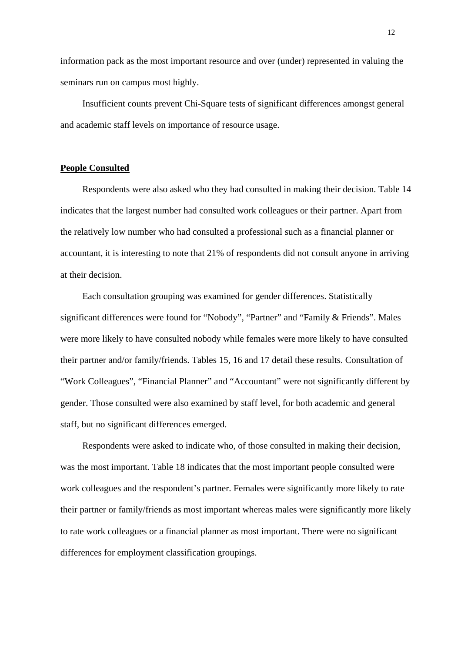information pack as the most important resource and over (under) represented in valuing the seminars run on campus most highly.

Insufficient counts prevent Chi-Square tests of significant differences amongst general and academic staff levels on importance of resource usage.

### **People Consulted**

Respondents were also asked who they had consulted in making their decision. Table 14 indicates that the largest number had consulted work colleagues or their partner. Apart from the relatively low number who had consulted a professional such as a financial planner or accountant, it is interesting to note that 21% of respondents did not consult anyone in arriving at their decision.

Each consultation grouping was examined for gender differences. Statistically significant differences were found for "Nobody", "Partner" and "Family & Friends". Males were more likely to have consulted nobody while females were more likely to have consulted their partner and/or family/friends. Tables 15, 16 and 17 detail these results. Consultation of "Work Colleagues", "Financial Planner" and "Accountant" were not significantly different by gender. Those consulted were also examined by staff level, for both academic and general staff, but no significant differences emerged.

Respondents were asked to indicate who, of those consulted in making their decision, was the most important. Table 18 indicates that the most important people consulted were work colleagues and the respondent's partner. Females were significantly more likely to rate their partner or family/friends as most important whereas males were significantly more likely to rate work colleagues or a financial planner as most important. There were no significant differences for employment classification groupings.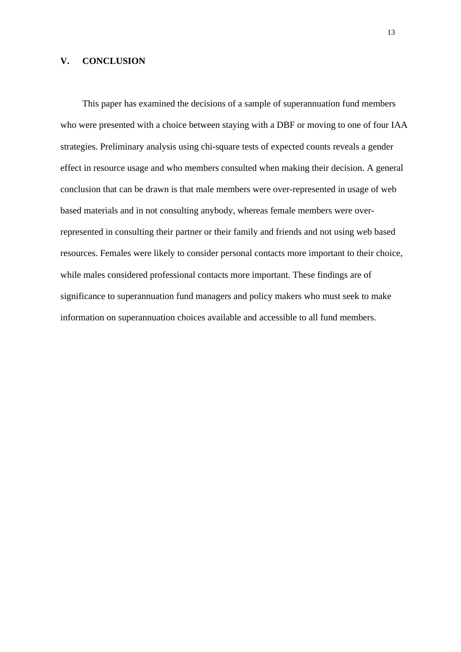### **V. CONCLUSION**

This paper has examined the decisions of a sample of superannuation fund members who were presented with a choice between staying with a DBF or moving to one of four IAA strategies. Preliminary analysis using chi-square tests of expected counts reveals a gender effect in resource usage and who members consulted when making their decision. A general conclusion that can be drawn is that male members were over-represented in usage of web based materials and in not consulting anybody, whereas female members were overrepresented in consulting their partner or their family and friends and not using web based resources. Females were likely to consider personal contacts more important to their choice, while males considered professional contacts more important. These findings are of significance to superannuation fund managers and policy makers who must seek to make information on superannuation choices available and accessible to all fund members.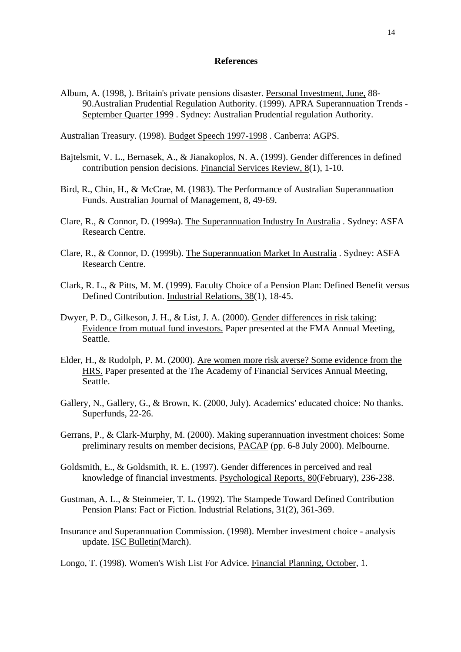### **References**

Album, A. (1998, ). Britain's private pensions disaster. Personal Investment, June, 88- 90.Australian Prudential Regulation Authority. (1999). APRA Superannuation Trends - September Quarter 1999 . Sydney: Australian Prudential regulation Authority.

Australian Treasury. (1998). Budget Speech 1997-1998 . Canberra: AGPS.

- Bajtelsmit, V. L., Bernasek, A., & Jianakoplos, N. A. (1999). Gender differences in defined contribution pension decisions. Financial Services Review, 8(1), 1-10.
- Bird, R., Chin, H., & McCrae, M. (1983). The Performance of Australian Superannuation Funds. Australian Journal of Management, 8, 49-69.
- Clare, R., & Connor, D. (1999a). The Superannuation Industry In Australia . Sydney: ASFA Research Centre.
- Clare, R., & Connor, D. (1999b). The Superannuation Market In Australia . Sydney: ASFA Research Centre.
- Clark, R. L., & Pitts, M. M. (1999). Faculty Choice of a Pension Plan: Defined Benefit versus Defined Contribution. Industrial Relations, 38(1), 18-45.
- Dwyer, P. D., Gilkeson, J. H., & List, J. A. (2000). Gender differences in risk taking: Evidence from mutual fund investors. Paper presented at the FMA Annual Meeting, Seattle.
- Elder, H., & Rudolph, P. M. (2000). Are women more risk averse? Some evidence from the HRS. Paper presented at the The Academy of Financial Services Annual Meeting, Seattle.
- Gallery, N., Gallery, G., & Brown, K. (2000, July). Academics' educated choice: No thanks. Superfunds, 22-26.
- Gerrans, P., & Clark-Murphy, M. (2000). Making superannuation investment choices: Some preliminary results on member decisions, PACAP (pp. 6-8 July 2000). Melbourne.
- Goldsmith, E., & Goldsmith, R. E. (1997). Gender differences in perceived and real knowledge of financial investments. Psychological Reports, 80(February), 236-238.
- Gustman, A. L., & Steinmeier, T. L. (1992). The Stampede Toward Defined Contribution Pension Plans: Fact or Fiction. Industrial Relations, 31(2), 361-369.
- Insurance and Superannuation Commission. (1998). Member investment choice analysis update. ISC Bulletin(March).

Longo, T. (1998). Women's Wish List For Advice. Financial Planning, October, 1.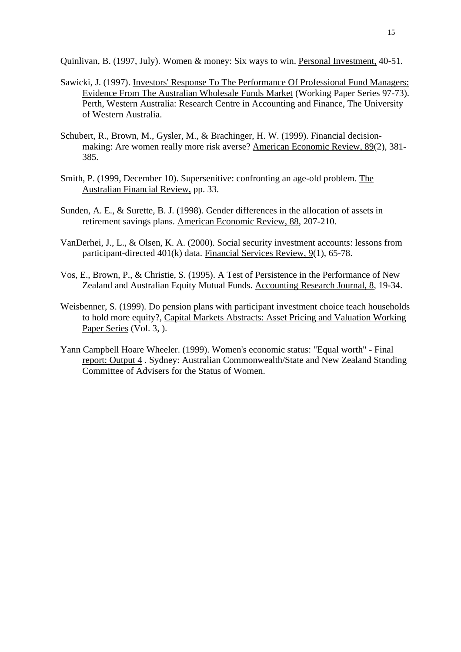Quinlivan, B. (1997, July). Women & money: Six ways to win. Personal Investment, 40-51.

- Sawicki, J. (1997). Investors' Response To The Performance Of Professional Fund Managers: Evidence From The Australian Wholesale Funds Market (Working Paper Series 97-73). Perth, Western Australia: Research Centre in Accounting and Finance, The University of Western Australia.
- Schubert, R., Brown, M., Gysler, M., & Brachinger, H. W. (1999). Financial decisionmaking: Are women really more risk averse? American Economic Review, 89(2), 381- 385.
- Smith, P. (1999, December 10). Supersenitive: confronting an age-old problem. The Australian Financial Review, pp. 33.
- Sunden, A. E., & Surette, B. J. (1998). Gender differences in the allocation of assets in retirement savings plans. American Economic Review, 88, 207-210.
- VanDerhei, J., L., & Olsen, K. A. (2000). Social security investment accounts: lessons from participant-directed 401(k) data. Financial Services Review, 9(1), 65-78.
- Vos, E., Brown, P., & Christie, S. (1995). A Test of Persistence in the Performance of New Zealand and Australian Equity Mutual Funds. Accounting Research Journal, 8, 19-34.
- Weisbenner, S. (1999). Do pension plans with participant investment choice teach households to hold more equity?, Capital Markets Abstracts: Asset Pricing and Valuation Working Paper Series (Vol. 3, ).
- Yann Campbell Hoare Wheeler. (1999). Women's economic status: "Equal worth" Final report: Output 4 . Sydney: Australian Commonwealth/State and New Zealand Standing Committee of Advisers for the Status of Women.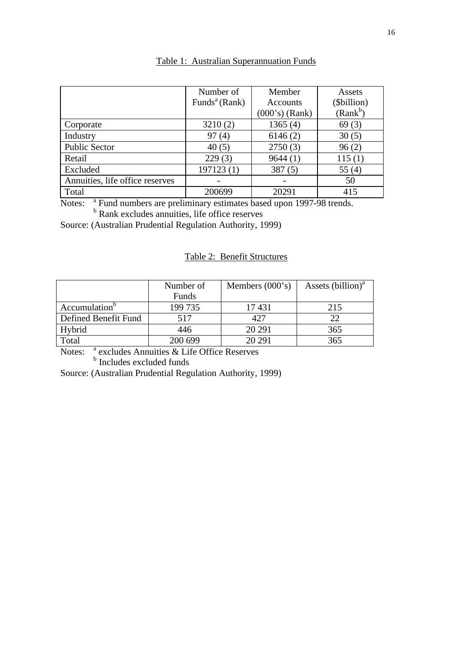|                                 | Number of                 | Member           | Assets      |
|---------------------------------|---------------------------|------------------|-------------|
|                                 | Funds <sup>a</sup> (Rank) | <b>Accounts</b>  | (\$billion) |
|                                 |                           | $(000's)$ (Rank) | $(Rank^b)$  |
| Corporate                       | 3210(2)                   | 1365(4)          | 69(3)       |
| Industry                        | 97(4)                     | 6146(2)          | 30(5)       |
| <b>Public Sector</b>            | 40(5)                     | 2750(3)          | 96(2)       |
| Retail                          | 229(3)                    | 9644(1)          | 115(1)      |
| Excluded                        | 197123(1)                 | 387(5)           | 55 $(4)$    |
| Annuities, life office reserves |                           |                  | 50          |
| Total                           | 200699                    | 20291            | 415         |

### Table 1: Australian Superannuation Funds

Notes: <sup>a</sup> Fund numbers are preliminary estimates based upon 1997-98 trends.<br><sup>b</sup> Rank excludes annuities, life office reserves

Source: (Australian Prudential Regulation Authority, 1999)

### Table 2: Benefit Structures

|                           | Number of | Members $(000's)$ | Assets (billion) <sup>a</sup> |
|---------------------------|-----------|-------------------|-------------------------------|
|                           | Funds     |                   |                               |
| Accumulation <sup>o</sup> | 199 735   | 17431             | 215                           |
| Defined Benefit Fund      | 517       | 427               | 22                            |
| Hybrid                    | 446       | 20 29 1           | 365                           |
| Total                     | 200 699   | 20 29 1           | 365                           |

Notes: <sup>a</sup> excludes Annuities & Life Office Reserves<br><sup>b</sup> Includes excluded funds

Source: (Australian Prudential Regulation Authority, 1999)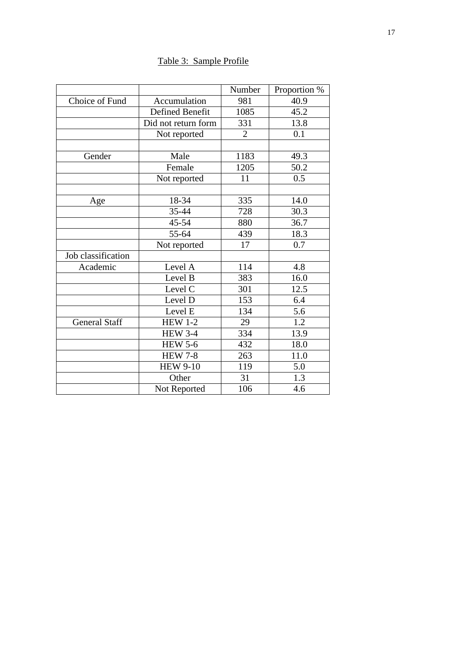## Table 3: Sample Profile

|                      |                      | Number         | Proportion %     |
|----------------------|----------------------|----------------|------------------|
| Choice of Fund       | Accumulation         | 981            | 40.9             |
|                      | Defined Benefit      | 1085           | 45.2             |
|                      | Did not return form  | 331            | 13.8             |
|                      | Not reported         | $\overline{2}$ | 0.1              |
|                      |                      |                |                  |
| Gender               | Male                 | 1183           | 49.3             |
|                      | Female               | 1205           | 50.2             |
|                      | Not reported         | 11             | $0.\overline{5}$ |
|                      |                      |                |                  |
| Age                  | 18-34                | 335            | 14.0             |
|                      | 35-44                | 728            | 30.3             |
|                      | 45-54                | 880            | 36.7             |
|                      | 55-64                | 439            | 18.3             |
|                      | Not reported         | 17             | 0.7              |
| Job classification   |                      |                |                  |
| Academic             | Level A              | 114            | 4.8              |
|                      | Level B              | 383            | 16.0             |
|                      | Level C              | 301            | 12.5             |
|                      | Level D              | 153            | 6.4              |
|                      | Level E              | 134            | 5.6              |
| <b>General Staff</b> | <b>HEW 1-2</b>       | 29             | 1.2              |
|                      | <b>HEW 3-4</b>       | 334            | 13.9             |
|                      | HEW $5-\overline{6}$ | 432            | 18.0             |
|                      | <b>HEW 7-8</b>       | 263            | 11.0             |
|                      | <b>HEW 9-10</b>      | 119            | 5.0              |
|                      | Other                | 31             | 1.3              |
|                      | Not Reported         | 106            | 4.6              |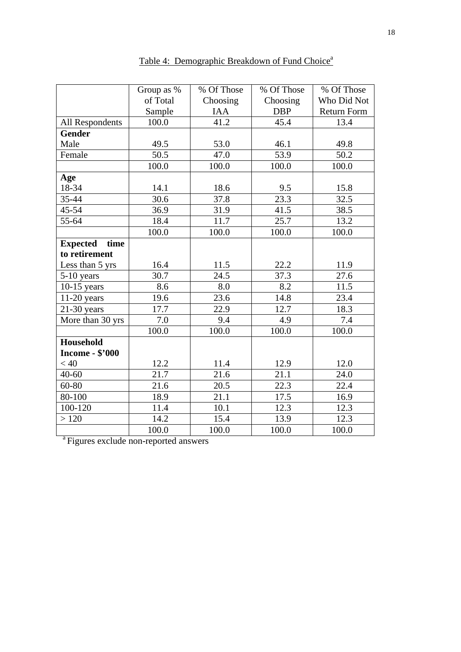|                         | Group as %        | $\overline{\%}$ Of Those | $\overline{\%}$ Of Those | % Of Those         |
|-------------------------|-------------------|--------------------------|--------------------------|--------------------|
|                         | of Total          | Choosing                 | Choosing                 | Who Did Not        |
|                         | Sample            | <b>IAA</b>               | <b>DBP</b>               | <b>Return Form</b> |
| All Respondents         | 100.0             | 41.2                     | 45.4                     | 13.4               |
| <b>Gender</b>           |                   |                          |                          |                    |
| Male                    | 49.5              | 53.0                     | 46.1                     | 49.8               |
| Female                  | 50.5              | 47.0                     | 53.9                     | 50.2               |
|                         | 100.0             | 100.0                    | 100.0                    | 100.0              |
| Age                     |                   |                          |                          |                    |
| 18-34                   | 14.1              | 18.6                     | 9.5                      | 15.8               |
| 35-44                   | 30.6              | 37.8                     | $\overline{23.3}$        | 32.5               |
| $45 - 54$               | 36.9              | 31.9                     | 41.5                     | 38.5               |
| 55-64                   | 18.4              | 11.7                     | 25.7                     | 13.2               |
|                         | 100.0             | 100.0                    | 100.0                    | 100.0              |
| <b>Expected</b><br>time |                   |                          |                          |                    |
| to retirement           |                   |                          |                          |                    |
| Less than 5 yrs         | 16.4              | 11.5                     | 22.2                     | 11.9               |
| $5-10$ years            | $\overline{3}0.7$ | 24.5                     | 37.3                     | 27.6               |
| $10-15$ years           | 8.6               | 8.0                      | 8.2                      | 11.5               |
| $11-20$ years           | 19.6              | 23.6                     | 14.8                     | 23.4               |
| $21-30$ years           | 17.7              | 22.9                     | 12.7                     | 18.3               |
| More than 30 yrs        | 7.0               | 9.4                      | 4.9                      | 7.4                |
|                         | 100.0             | 100.0                    | 100.0                    | 100.0              |
| Household               |                   |                          |                          |                    |
| <b>Income - \$'000</b>  |                   |                          |                          |                    |
| < 40                    | 12.2              | 11.4                     | 12.9                     | 12.0               |
| $40 - 60$               | $\overline{21.7}$ | $\overline{2}1.6$        | 21.1                     | 24.0               |
| 60-80                   | 21.6              | 20.5                     | 22.3                     | 22.4               |
| 80-100                  | 18.9              | 21.1                     | 17.5                     | 16.9               |
| 100-120                 | 11.4              | 10.1                     | 12.3                     | 12.3               |
| >120                    | 14.2              | 15.4                     | 13.9                     | 12.3               |
|                         | 100.0             | 100.0                    | 100.0                    | 100.0              |

Table 4: Demographic Breakdown of Fund Choice<sup>a</sup>

<sup>a</sup>Figures exclude non-reported answers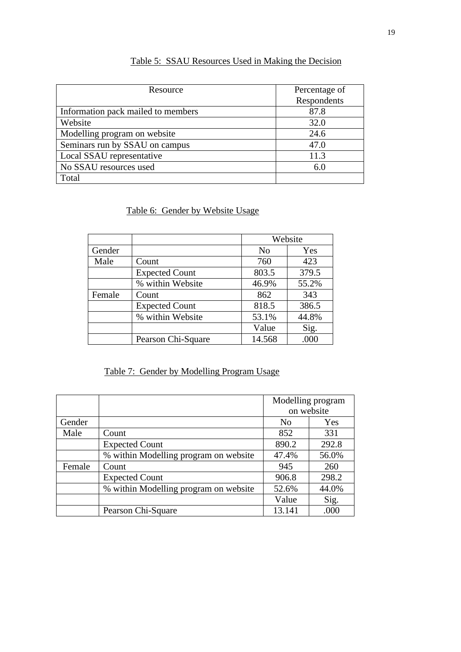| Resource                           | Percentage of |
|------------------------------------|---------------|
|                                    | Respondents   |
| Information pack mailed to members | 87.8          |
| Website                            | 32.0          |
| Modelling program on website       | 24.6          |
| Seminars run by SSAU on campus     | 47.0          |
| Local SSAU representative          | 11.3          |
| No SSAU resources used             | 6.0           |
| Total                              |               |

## Table 5: SSAU Resources Used in Making the Decision

Table 6: Gender by Website Usage

|        |                       | Website        |       |  |
|--------|-----------------------|----------------|-------|--|
| Gender |                       | N <sub>0</sub> | Yes   |  |
| Male   | Count                 | 760            | 423   |  |
|        | <b>Expected Count</b> | 803.5          | 379.5 |  |
|        | % within Website      | 46.9%          | 55.2% |  |
| Female | Count                 | 862            | 343   |  |
|        | <b>Expected Count</b> | 818.5          | 386.5 |  |
|        | % within Website      | 53.1%          | 44.8% |  |
|        |                       | Value          | Sig.  |  |
|        | Pearson Chi-Square    | 14.568         | .000  |  |

## Table 7: Gender by Modelling Program Usage

|        |                                       |                | Modelling program |
|--------|---------------------------------------|----------------|-------------------|
|        |                                       |                | on website        |
| Gender |                                       | N <sub>0</sub> | Yes               |
| Male   | Count                                 | 852            | 331               |
|        | <b>Expected Count</b>                 | 890.2          | 292.8             |
|        | % within Modelling program on website | 47.4%          | 56.0%             |
| Female | Count                                 | 945            | 260               |
|        | <b>Expected Count</b>                 | 906.8          | 298.2             |
|        | % within Modelling program on website | 52.6%          | 44.0%             |
|        |                                       | Value          | Sig.              |
|        | Pearson Chi-Square                    | 13.141         | .000              |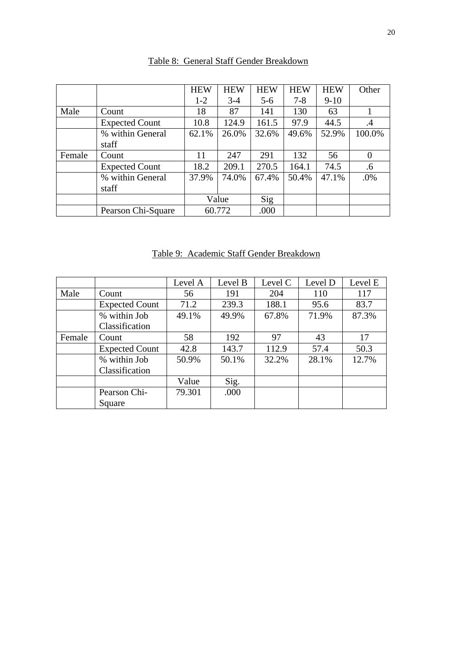|        |                       | <b>HEW</b> | <b>HEW</b> | <b>HEW</b> | <b>HEW</b> | <b>HEW</b> | Other          |
|--------|-----------------------|------------|------------|------------|------------|------------|----------------|
|        |                       | $1 - 2$    | $3-4$      | $5-6$      | $7 - 8$    | $9-10$     |                |
| Male   | Count                 | 18         | 87         | 141        | 130        | 63         |                |
|        | <b>Expected Count</b> | 10.8       | 124.9      | 161.5      | 97.9       | 44.5       | $\cdot$ 4      |
|        | % within General      | 62.1%      | 26.0%      | 32.6%      | 49.6%      | 52.9%      | 100.0%         |
|        | staff                 |            |            |            |            |            |                |
| Female | Count                 | 11         | 247        | 291        | 132        | 56         | $\overline{0}$ |
|        | <b>Expected Count</b> | 18.2       | 209.1      | 270.5      | 164.1      | 74.5       | .6             |
|        | % within General      | 37.9%      | 74.0%      | 67.4%      | 50.4%      | 47.1%      | .0%            |
|        | staff                 |            |            |            |            |            |                |
|        |                       | Value      |            | Sig        |            |            |                |
|        | Pearson Chi-Square    |            | 60.772     | .000       |            |            |                |

## Table 8: General Staff Gender Breakdown

Table 9: Academic Staff Gender Breakdown

|        |                       | Level A | Level B | Level C | Level D | Level E |
|--------|-----------------------|---------|---------|---------|---------|---------|
| Male   | Count                 | 56      | 191     | 204     | 110     | 117     |
|        | <b>Expected Count</b> | 71.2    | 239.3   | 188.1   | 95.6    | 83.7    |
|        | % within Job          | 49.1%   | 49.9%   | 67.8%   | 71.9%   | 87.3%   |
|        | Classification        |         |         |         |         |         |
| Female | Count                 | 58      | 192     | 97      | 43      | 17      |
|        | <b>Expected Count</b> | 42.8    | 143.7   | 112.9   | 57.4    | 50.3    |
|        | % within Job          | 50.9%   | 50.1%   | 32.2%   | 28.1%   | 12.7%   |
|        | Classification        |         |         |         |         |         |
|        |                       | Value   | Sig.    |         |         |         |
|        | Pearson Chi-          | 79.301  | .000    |         |         |         |
|        | Square                |         |         |         |         |         |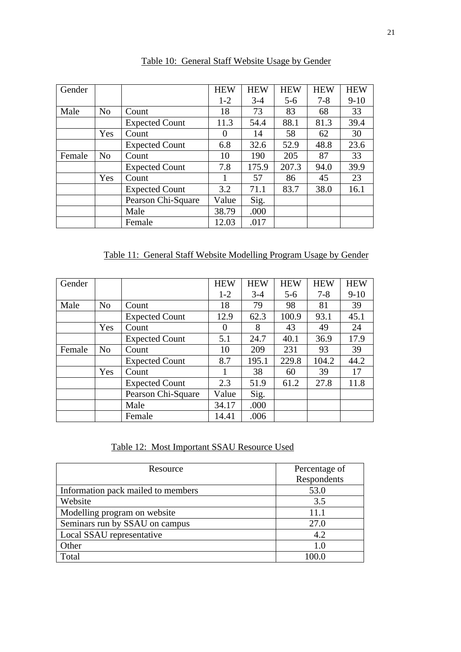| Gender |                |                       | <b>HEW</b> | <b>HEW</b> | <b>HEW</b> | <b>HEW</b> | <b>HEW</b> |
|--------|----------------|-----------------------|------------|------------|------------|------------|------------|
|        |                |                       | $1 - 2$    | $3-4$      | $5-6$      | $7 - 8$    | $9-10$     |
| Male   | N <sub>o</sub> | Count                 | 18         | 73         | 83         | 68         | 33         |
|        |                | <b>Expected Count</b> | 11.3       | 54.4       | 88.1       | 81.3       | 39.4       |
|        | Yes            | Count                 | $\Omega$   | 14         | 58         | 62         | 30         |
|        |                | <b>Expected Count</b> | 6.8        | 32.6       | 52.9       | 48.8       | 23.6       |
| Female | N <sub>o</sub> | Count                 | 10         | 190        | 205        | 87         | 33         |
|        |                | <b>Expected Count</b> | 7.8        | 175.9      | 207.3      | 94.0       | 39.9       |
|        | Yes            | Count                 |            | 57         | 86         | 45         | 23         |
|        |                | <b>Expected Count</b> | 3.2        | 71.1       | 83.7       | 38.0       | 16.1       |
|        |                | Pearson Chi-Square    | Value      | Sig.       |            |            |            |
|        |                | Male                  | 38.79      | .000       |            |            |            |
|        |                | Female                | 12.03      | .017       |            |            |            |

Table 10: General Staff Website Usage by Gender

Table 11: General Staff Website Modelling Program Usage by Gender

| Gender |                |                       | <b>HEW</b> | <b>HEW</b> | <b>HEW</b> | <b>HEW</b> | <b>HEW</b> |
|--------|----------------|-----------------------|------------|------------|------------|------------|------------|
|        |                |                       | $1-2$      | $3-4$      | $5-6$      | $7 - 8$    | $9 - 10$   |
| Male   | N <sub>o</sub> | Count                 | 18         | 79         | 98         | 81         | 39         |
|        |                | <b>Expected Count</b> | 12.9       | 62.3       | 100.9      | 93.1       | 45.1       |
|        | Yes            | Count                 | $\theta$   | 8          | 43         | 49         | 24         |
|        |                | <b>Expected Count</b> | 5.1        | 24.7       | 40.1       | 36.9       | 17.9       |
| Female | No             | Count                 | 10         | 209        | 231        | 93         | 39         |
|        |                | <b>Expected Count</b> | 8.7        | 195.1      | 229.8      | 104.2      | 44.2       |
|        | Yes            | Count                 |            | 38         | 60         | 39         | 17         |
|        |                | <b>Expected Count</b> | 2.3        | 51.9       | 61.2       | 27.8       | 11.8       |
|        |                | Pearson Chi-Square    | Value      | Sig.       |            |            |            |
|        |                | Male                  | 34.17      | .000       |            |            |            |
|        |                | Female                | 14.41      | .006       |            |            |            |

Table 12: Most Important SSAU Resource Used

| Resource                           | Percentage of |
|------------------------------------|---------------|
|                                    | Respondents   |
| Information pack mailed to members | 53.0          |
| Website                            | 3.5           |
| Modelling program on website       | 11.1          |
| Seminars run by SSAU on campus     | 27.0          |
| Local SSAU representative          | 4.2           |
| Other                              | 1.0           |
| Total                              | 100 O         |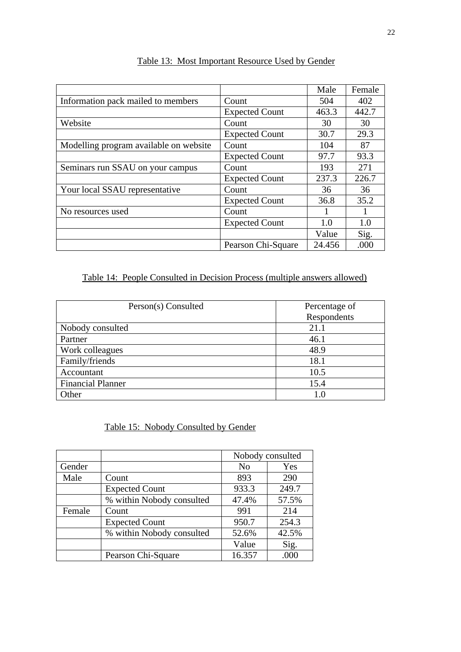|                                        |                       | Male   | Female |
|----------------------------------------|-----------------------|--------|--------|
| Information pack mailed to members     | Count                 | 504    | 402    |
|                                        | <b>Expected Count</b> | 463.3  | 442.7  |
| Website                                | Count                 | 30     | 30     |
|                                        | <b>Expected Count</b> | 30.7   | 29.3   |
| Modelling program available on website | Count                 | 104    | 87     |
|                                        | <b>Expected Count</b> | 97.7   | 93.3   |
| Seminars run SSAU on your campus       | Count                 | 193    | 271    |
|                                        | <b>Expected Count</b> | 237.3  | 226.7  |
| Your local SSAU representative         | Count                 | 36     | 36     |
|                                        | <b>Expected Count</b> | 36.8   | 35.2   |
| No resources used                      | Count                 |        |        |
|                                        | <b>Expected Count</b> | 1.0    | 1.0    |
|                                        |                       | Value  | Sig.   |
|                                        | Pearson Chi-Square    | 24.456 | .000   |

## Table 13: Most Important Resource Used by Gender

## Table 14: People Consulted in Decision Process (multiple answers allowed)

| Person(s) Consulted      | Percentage of |
|--------------------------|---------------|
|                          | Respondents   |
| Nobody consulted         | 21.1          |
| Partner                  | 46.1          |
| Work colleagues          | 48.9          |
| Family/friends           | 18.1          |
| Accountant               | 10.5          |
| <b>Financial Planner</b> | 15.4          |
| Other                    | 1.0           |

Table 15: Nobody Consulted by Gender

|        |                           | Nobody consulted |       |
|--------|---------------------------|------------------|-------|
| Gender |                           | N <sub>0</sub>   | Yes   |
| Male   | Count                     | 893              | 290   |
|        | <b>Expected Count</b>     | 933.3            | 249.7 |
|        | % within Nobody consulted | 47.4%            | 57.5% |
| Female | Count                     | 991              | 214   |
|        | <b>Expected Count</b>     | 950.7            | 254.3 |
|        | % within Nobody consulted | 52.6%            | 42.5% |
|        |                           | Value            | Sig.  |
|        | Pearson Chi-Square        | 16.357           | .000  |